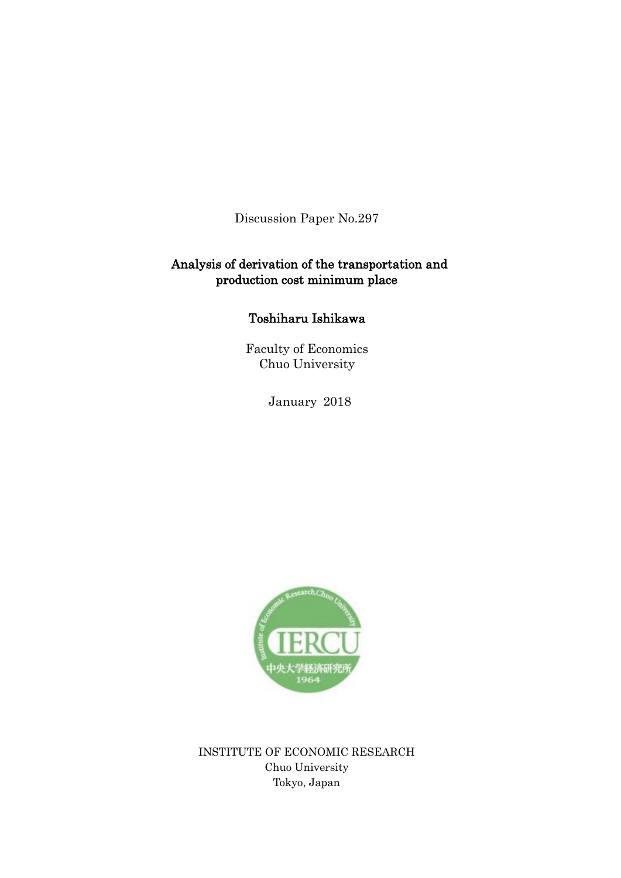Discussion Paper No.297

# Analysis of derivation of the transportation and production cost minimum place

# Toshiharu Ishikawa

Faculty of Economics Chuo University

January 2018



INSTITUTE OF ECONOMIC RESEARCH Chuo University Tokyo, Japan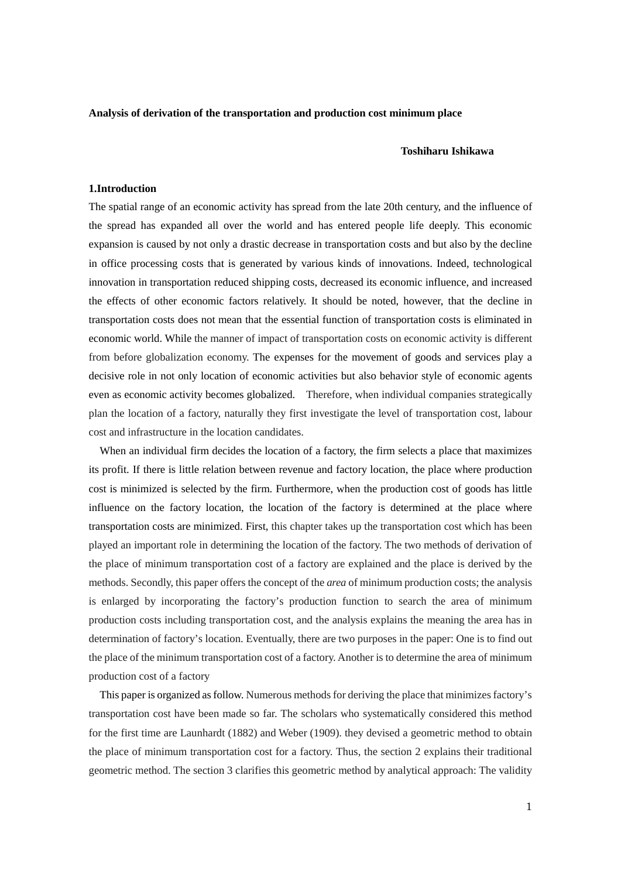#### **Analysis of derivation of the transportation and production cost minimum place**

#### **Toshiharu Ishikawa**

## **1.Introduction**

The spatial range of an economic activity has spread from the late 20th century, and the influence of the spread has expanded all over the world and has entered people life deeply. This economic expansion is caused by not only a drastic decrease in transportation costs and but also by the decline in office processing costs that is generated by various kinds of innovations. Indeed, technological innovation in transportation reduced shipping costs, decreased its economic influence, and increased the effects of other economic factors relatively. It should be noted, however, that the decline in transportation costs does not mean that the essential function of transportation costs is eliminated in economic world. While the manner of impact of transportation costs on economic activity is different from before globalization economy. The expenses for the movement of goods and services play a decisive role in not only location of economic activities but also behavior style of economic agents even as economic activity becomes globalized. Therefore, when individual companies strategically plan the location of a factory, naturally they first investigate the level of transportation cost, labour cost and infrastructure in the location candidates.

 When an individual firm decides the location of a factory, the firm selects a place that maximizes its profit. If there is little relation between revenue and factory location, the place where production cost is minimized is selected by the firm. Furthermore, when the production cost of goods has little influence on the factory location, the location of the factory is determined at the place where transportation costs are minimized. First, this chapter takes up the transportation cost which has been played an important role in determining the location of the factory. The two methods of derivation of the place of minimum transportation cost of a factory are explained and the place is derived by the methods. Secondly, this paper offers the concept of the *area* of minimum production costs; the analysis is enlarged by incorporating the factory's production function to search the area of minimum production costs including transportation cost, and the analysis explains the meaning the area has in determination of factory's location. Eventually, there are two purposes in the paper: One is to find out the place of the minimum transportation cost of a factory. Another is to determine the area of minimum production cost of a factory

 This paper is organized as follow. Numerous methods for deriving the place that minimizes factory's transportation cost have been made so far. The scholars who systematically considered this method for the first time are Launhardt (1882) and Weber (1909). they devised a geometric method to obtain the place of minimum transportation cost for a factory. Thus, the section 2 explains their traditional geometric method. The section 3 clarifies this geometric method by analytical approach: The validity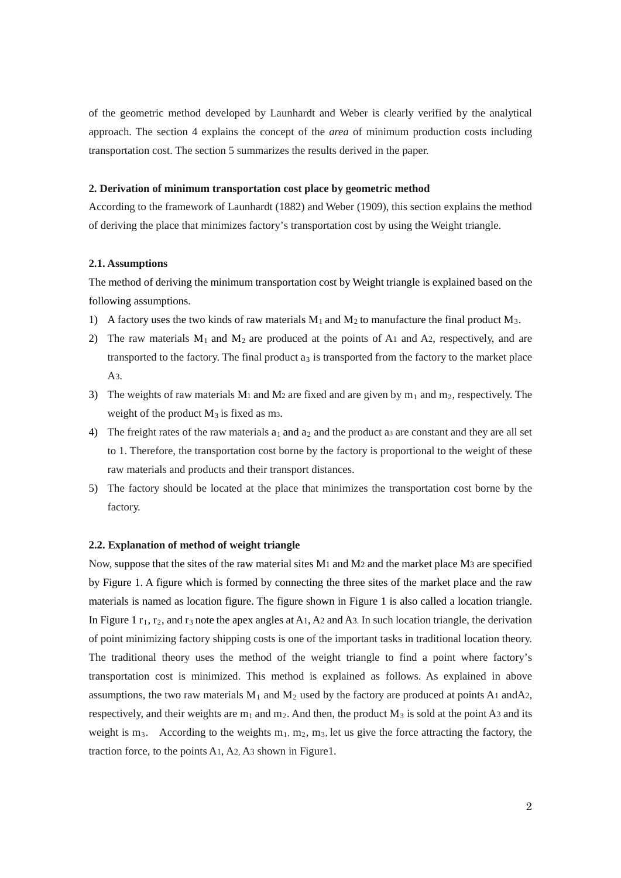of the geometric method developed by Launhardt and Weber is clearly verified by the analytical approach. The section 4 explains the concept of the *area* of minimum production costs including transportation cost. The section 5 summarizes the results derived in the paper.

### **2. Derivation of minimum transportation cost place by geometric method**

According to the framework of Launhardt (1882) and Weber (1909), this section explains the method of deriving the place that minimizes factory's transportation cost by using the Weight triangle.

#### **2.1. Assumptions**

The method of deriving the minimum transportation cost by Weight triangle is explained based on the following assumptions.

- 1) A factory uses the two kinds of raw materials  $M_1$  and  $M_2$  to manufacture the final product  $M_3$ .
- 2) The raw materials  $M_1$  and  $M_2$  are produced at the points of A1 and A2, respectively, and are transported to the factory. The final product  $a_3$  is transported from the factory to the market place  $A3.$
- 3) The weights of raw materials  $M_1$  and  $M_2$  are fixed and are given by  $m_1$  and  $m_2$ , respectively. The weight of the product  $M_3$  is fixed as m<sub>3</sub>.
- 4) The freight rates of the raw materials  $a_1$  and  $a_2$  and the product as are constant and they are all set to 1. Therefore, the transportation cost borne by the factory is proportional to the weight of these raw materials and products and their transport distances.
- 5) The factory should be located at the place that minimizes the transportation cost borne by the factory.

### **2.2. Explanation of method of weight triangle**

Now, suppose that the sites of the raw material sites M1 and M2 and the market place M3 are specified by Figure 1. A figure which is formed by connecting the three sites of the market place and the raw materials is named as location figure. The figure shown in Figure 1 is also called a location triangle. In Figure 1  $r_1$ ,  $r_2$ , and  $r_3$  note the apex angles at A1, A2 and A3. In such location triangle, the derivation of point minimizing factory shipping costs is one of the important tasks in traditional location theory. The traditional theory uses the method of the weight triangle to find a point where factory's transportation cost is minimized. This method is explained as follows. As explained in above assumptions, the two raw materials  $M_1$  and  $M_2$  used by the factory are produced at points A1 andA2, respectively, and their weights are  $m_1$  and  $m_2$ . And then, the product  $M_3$  is sold at the point A3 and its weight is m<sub>3</sub>. According to the weights  $m_1$ ,  $m_2$ ,  $m_3$ , let us give the force attracting the factory, the traction force, to the points A1, A2, A3 shown in Figure1.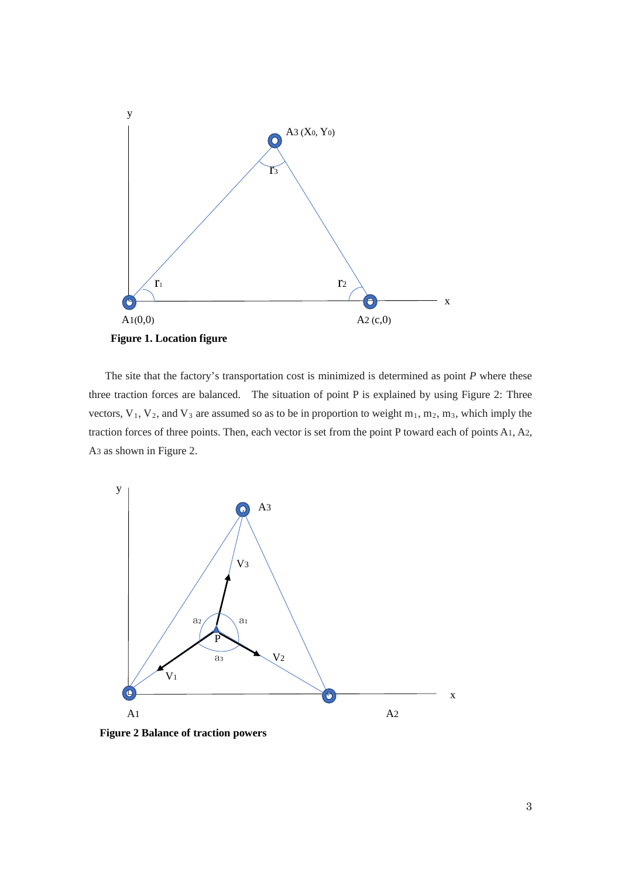

 The site that the factory's transportation cost is minimized is determined as point *P* where these three traction forces are balanced. The situation of point P is explained by using Figure 2: Three vectors,  $V_1$ ,  $V_2$ , and  $V_3$  are assumed so as to be in proportion to weight  $m_1$ ,  $m_2$ ,  $m_3$ , which imply the traction forces of three points. Then, each vector is set from the point P toward each of points A1, A2, A3 as shown in Figure 2.



**Figure 2 Balance of traction powers**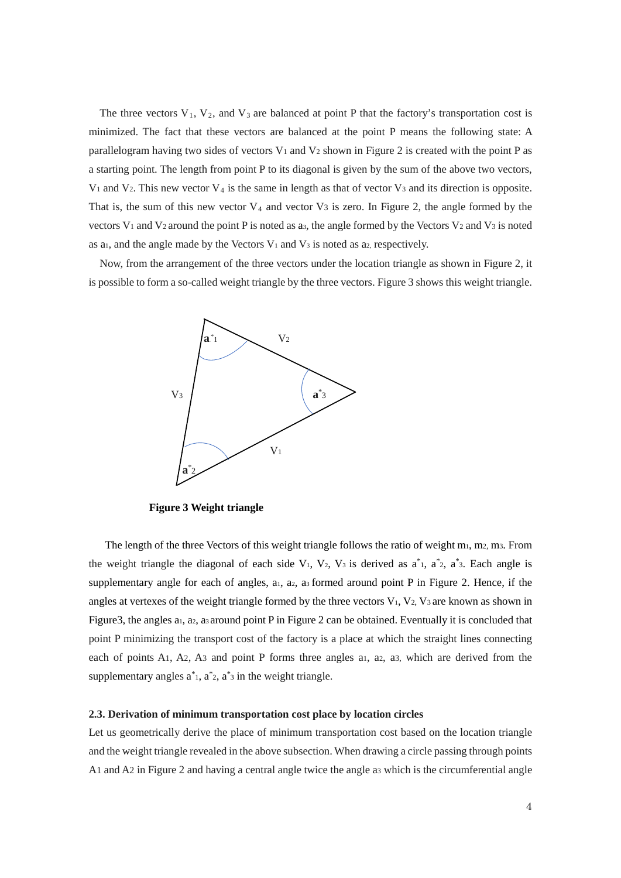The three vectors  $V_1$ ,  $V_2$ , and  $V_3$  are balanced at point P that the factory's transportation cost is minimized. The fact that these vectors are balanced at the point P means the following state: A parallelogram having two sides of vectors  $V_1$  and  $V_2$  shown in Figure 2 is created with the point P as a starting point. The length from point P to its diagonal is given by the sum of the above two vectors,  $V_1$  and  $V_2$ . This new vector  $V_4$  is the same in length as that of vector  $V_3$  and its direction is opposite. That is, the sum of this new vector  $V_4$  and vector  $V_3$  is zero. In Figure 2, the angle formed by the vectors  $V_1$  and  $V_2$  around the point P is noted as a<sub>3</sub>, the angle formed by the Vectors  $V_2$  and  $V_3$  is noted as a<sub>1</sub>, and the angle made by the Vectors  $V_1$  and  $V_3$  is noted as a<sub>2</sub>, respectively.

Now, from the arrangement of the three vectors under the location triangle as shown in Figure 2, it is possible to form a so-called weight triangle by the three vectors. Figure 3 shows this weight triangle.



**Figure 3 Weight triangle**

The length of the three Vectors of this weight triangle follows the ratio of weight  $m_1$ , m2, m3. From the weight triangle the diagonal of each side  $V_1$ ,  $V_2$ ,  $V_3$  is derived as  $a^*$ <sub>1</sub>,  $a^*$ <sub>2</sub>,  $a^*$ <sub>3</sub>. Each angle is supplementary angle for each of angles,  $a_1$ ,  $a_2$ ,  $a_3$  formed around point P in Figure 2. Hence, if the angles at vertexes of the weight triangle formed by the three vectors  $V_1$ ,  $V_2$ ,  $V_3$  are known as shown in Figure3, the angles a<sub>1</sub>, a<sub>2</sub>, a<sub>3</sub> around point P in Figure 2 can be obtained. Eventually it is concluded that point P minimizing the transport cost of the factory is a place at which the straight lines connecting each of points A1, A2, A3 and point P forms three angles a1, a2, a3, which are derived from the supplementary angles  $a^*$ ,  $a^*$ ,  $a^*$  in the weight triangle.

#### **2.3. Derivation of minimum transportation cost place by location circles**

Let us geometrically derive the place of minimum transportation cost based on the location triangle and the weight triangle revealed in the above subsection. When drawing a circle passing through points A1 and A2 in Figure 2 and having a central angle twice the angle a3 which is the circumferential angle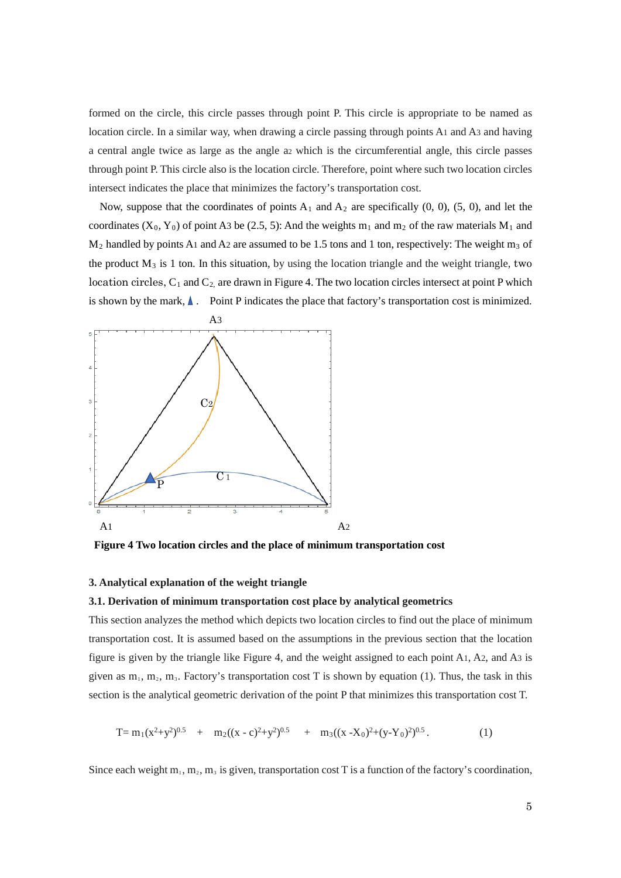formed on the circle, this circle passes through point P. This circle is appropriate to be named as location circle. In a similar way, when drawing a circle passing through points A1 and A3 and having a central angle twice as large as the angle a2 which is the circumferential angle, this circle passes through point P. This circle also is the location circle. Therefore, point where such two location circles intersect indicates the place that minimizes the factory's transportation cost.

Now, suppose that the coordinates of points  $A_1$  and  $A_2$  are specifically (0, 0), (5, 0), and let the coordinates (X<sub>0</sub>, Y<sub>0</sub>) of point A3 be (2.5, 5): And the weights m<sub>1</sub> and m<sub>2</sub> of the raw materials M<sub>1</sub> and  $M_2$  handled by points A1 and A2 are assumed to be 1.5 tons and 1 ton, respectively: The weight m<sub>3</sub> of the product  $M_3$  is 1 ton. In this situation, by using the location triangle and the weight triangle, two location circles,  $C_1$  and  $C_2$  are drawn in Figure 4. The two location circles intersect at point P which is shown by the mark,  $\blacktriangle$ . Point P indicates the place that factory's transportation cost is minimized.



**Figure 4 Two location circles and the place of minimum transportation cost**

#### **3. Analytical explanation of the weight triangle**

### **3.1. Derivation of minimum transportation cost place by analytical geometrics**

This section analyzes the method which depicts two location circles to find out the place of minimum transportation cost. It is assumed based on the assumptions in the previous section that the location figure is given by the triangle like Figure 4, and the weight assigned to each point A1, A2, and A3 is given as  $m_1$ ,  $m_2$ ,  $m_3$ . Factory's transportation cost T is shown by equation (1). Thus, the task in this section is the analytical geometric derivation of the point P that minimizes this transportation cost T.

$$
T = m_1(x^2 + y^2)^{0.5} + m_2((x - c)^2 + y^2)^{0.5} + m_3((x - X_0)^2 + (y - Y_0)^2)^{0.5}.
$$
 (1)

Since each weight  $m_1, m_2, m_3$  is given, transportation cost T is a function of the factory's coordination,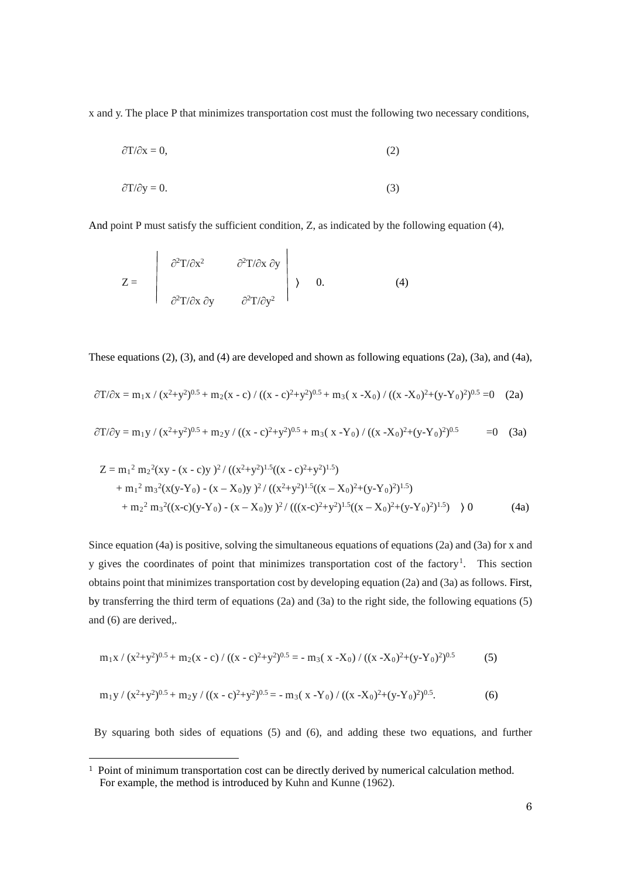x and y. The place P that minimizes transportation cost must the following two necessary conditions,

$$
\partial T/\partial x = 0,\tag{2}
$$

$$
\partial T/\partial y = 0. \tag{3}
$$

And point P must satisfy the sufficient condition, Z, as indicated by the following equation (4),

$$
Z = \begin{vmatrix} \frac{\partial^2 T}{\partial x^2} & \frac{\partial^2 T}{\partial x \partial y} \\ \frac{\partial^2 T}{\partial x \partial y} & \frac{\partial^2 T}{\partial y^2} \end{vmatrix} \rightarrow 0.
$$
 (4)

These equations (2), (3), and (4) are developed and shown as following equations (2a), (3a), and (4a),

$$
\partial T/\partial x = m_1 x / (x^2 + y^2)^{0.5} + m_2 (x - c) / ((x - c)^2 + y^2)^{0.5} + m_3 (x - X_0) / ((x - X_0)^2 + (y - Y_0)^2)^{0.5} = 0
$$
 (2a)

$$
\partial T/\partial y = m_1 y / (x^2 + y^2)^{0.5} + m_2 y / ((x - c)^2 + y^2)^{0.5} + m_3 (x - Y_0) / ((x - X_0)^2 + (y - Y_0)^2)^{0.5} = 0 \quad (3a)
$$

$$
Z = m_1^2 m_2^2 (xy - (x - c)y)^2 / ((x^2 + y^2)^{1.5} ((x - c)^2 + y^2)^{1.5})
$$
  
+  $m_1^2 m_3^2 (x(y-Y_0) - (x - X_0)y)^2 / ((x^2 + y^2)^{1.5} ((x - X_0)^2 + (y - Y_0)^2)^{1.5})$   
+  $m_2^2 m_3^2 ((x-c)(y-Y_0) - (x - X_0)y)^2 / (((x-c)^2 + y^2)^{1.5} ((x - X_0)^2 + (y - Y_0)^2)^{1.5})$  ) 0 (4a)

Since equation (4a) is positive, solving the simultaneous equations of equations (2a) and (3a) for x and y gives the coordinates of point that minimizes transportation cost of the factory<sup>[1](#page-6-0)</sup>. This section obtains point that minimizes transportation cost by developing equation (2a) and (3a) as follows. First, by transferring the third term of equations (2a) and (3a) to the right side, the following equations (5) and (6) are derived,.

$$
m_1x / (x^2+y^2)^{0.5} + m_2(x-c) / ((x-c)^2+y^2)^{0.5} = -m_3(x-X_0) / ((x-X_0)^2+(y-Y_0)^2)^{0.5}
$$
 (5)

$$
m_1 y / (x^2 + y^2)^{0.5} + m_2 y / ((x - c)^2 + y^2)^{0.5} = - m_3 (x - Y_0) / ((x - X_0)^2 + (y - Y_0)^2)^{0.5}.
$$
 (6)

By squaring both sides of equations (5) and (6), and adding these two equations, and further

<span id="page-6-0"></span><sup>&</sup>lt;sup>1</sup> Point of minimum transportation cost can be directly derived by numerical calculation method. For example, the method is introduced by Kuhn and Kunne (1962).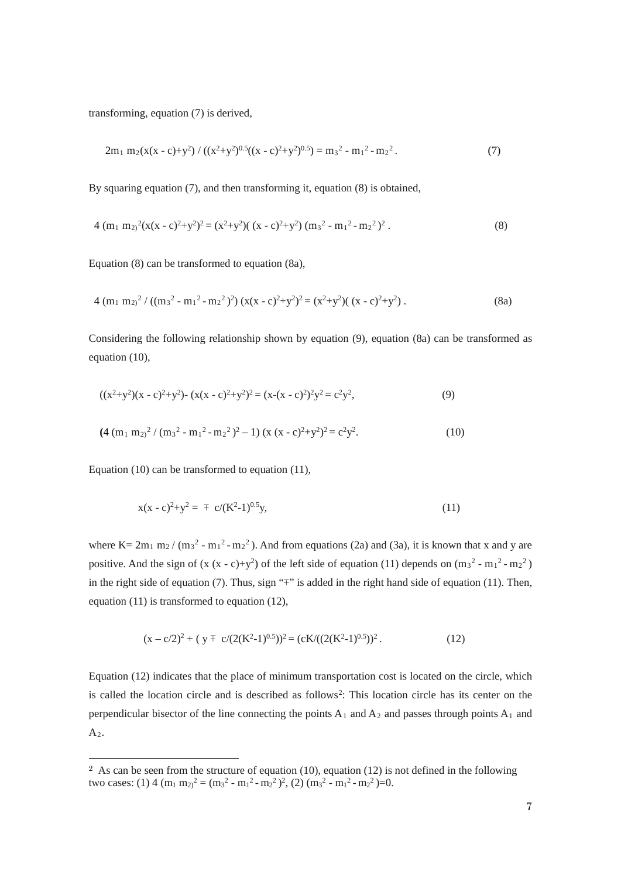transforming, equation (7) is derived,

$$
2m_1 \, m_2(x(x-c)+y^2) / ((x^2+y^2)^{0.5}((x-c)^2+y^2)^{0.5}) = m_3^2 - m_1^2 - m_2^2. \tag{7}
$$

By squaring equation (7), and then transforming it, equation (8) is obtained,

$$
4 (m_1 m_2)^2 (x(x - c)^2 + y^2)^2 = (x^2 + y^2) ((x - c)^2 + y^2) (m_3^2 - m_1^2 - m_2^2)^2.
$$
 (8)

Equation (8) can be transformed to equation (8a),

$$
4 (m_1 m_2)^2 / ((m_3^2 - m_1^2 - m_2^2)^2) (x(x - c)^2 + y^2)^2 = (x^2 + y^2) ((x - c)^2 + y^2).
$$
 (8a)

Considering the following relationship shown by equation (9), equation (8a) can be transformed as equation (10),

$$
((x2+y2)(x-c)2+y2)-(x(x-c)2+y2)2=(x-(x-c)2)2y2=c2y2,
$$
\n(9)

$$
(4 (m_1 m_{2})^2 / (m_3^2 - m_1^2 - m_2^2)^2 - 1) (x (x - c)^2 + y^2)^2 = c^2 y^2.
$$
 (10)

Equation (10) can be transformed to equation (11),

$$
x(x - c)^2 + y^2 = \pm c/(K^2 - 1)^{0.5}y,\tag{11}
$$

where  $K = 2m_1 m_2 / (m_3^2 - m_1^2 - m_2^2)$ . And from equations (2a) and (3a), it is known that x and y are positive. And the sign of  $(x (x - c)+y^2)$  of the left side of equation (11) depends on  $(m_3^2 - m_1^2 - m_2^2)$ in the right side of equation (7). Thus, sign "∓" is added in the right hand side of equation (11). Then, equation (11) is transformed to equation (12),

$$
(x - c/2)^2 + (y \mp c/(2(K^2-1)^{0.5}))^2 = (cK/((2(K^2-1)^{0.5}))^2.
$$
 (12)

Equation (12) indicates that the place of minimum transportation cost is located on the circle, which is called the location circle and is described as follows<sup>[2](#page-7-0)</sup>: This location circle has its center on the perpendicular bisector of the line connecting the points  $A_1$  and  $A_2$  and passes through points  $A_1$  and  $A_2$ .

<span id="page-7-0"></span><sup>&</sup>lt;sup>2</sup> As can be seen from the structure of equation (10), equation (12) is not defined in the following two cases: (1) 4  $(m_1 m_2)^2 = (m_3^2 - m_1^2 - m_2^2)^2$ , (2)  $(m_3^2 - m_1^2 - m_2^2) = 0$ .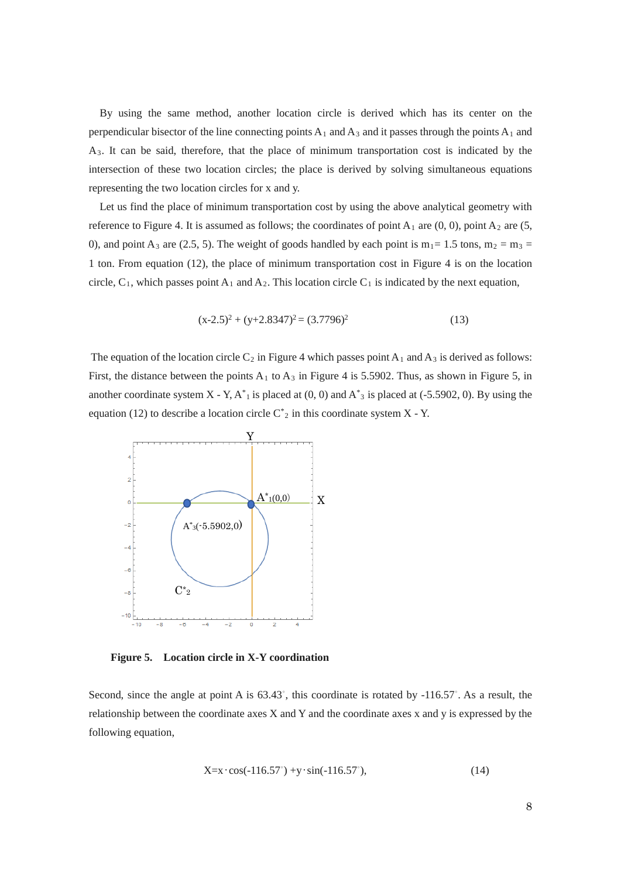By using the same method, another location circle is derived which has its center on the perpendicular bisector of the line connecting points  $A_1$  and  $A_3$  and it passes through the points  $A_1$  and A3. It can be said, therefore, that the place of minimum transportation cost is indicated by the intersection of these two location circles; the place is derived by solving simultaneous equations representing the two location circles for x and y.

Let us find the place of minimum transportation cost by using the above analytical geometry with reference to Figure 4. It is assumed as follows; the coordinates of point  $A_1$  are  $(0, 0)$ , point  $A_2$  are (5, 0), and point A<sub>3</sub> are (2.5, 5). The weight of goods handled by each point is  $m_1$  = 1.5 tons,  $m_2$  =  $m_3$  = 1 ton. From equation (12), the place of minimum transportation cost in Figure 4 is on the location circle,  $C_1$ , which passes point  $A_1$  and  $A_2$ . This location circle  $C_1$  is indicated by the next equation,

$$
(x-2.5)^2 + (y+2.8347)^2 = (3.7796)^2
$$
\n(13)

The equation of the location circle  $C_2$  in Figure 4 which passes point  $A_1$  and  $A_3$  is derived as follows: First, the distance between the points  $A_1$  to  $A_3$  in Figure 4 is 5.5902. Thus, as shown in Figure 5, in another coordinate system  $X - Y$ ,  $A^*$  is placed at  $(0, 0)$  and  $A^*$  is placed at  $(-5.5902, 0)$ . By using the equation (12) to describe a location circle  $C^*_{2}$  in this coordinate system X - Y.



**Figure 5. Location circle in X-Y coordination**

Second, since the angle at point A is 63.43°, this coordinate is rotated by -116.57°. As a result, the relationship between the coordinate axes X and Y and the coordinate axes x and y is expressed by the following equation,

$$
X = x \cdot \cos(-116.57^\circ) + y \cdot \sin(-116.57^\circ),\tag{14}
$$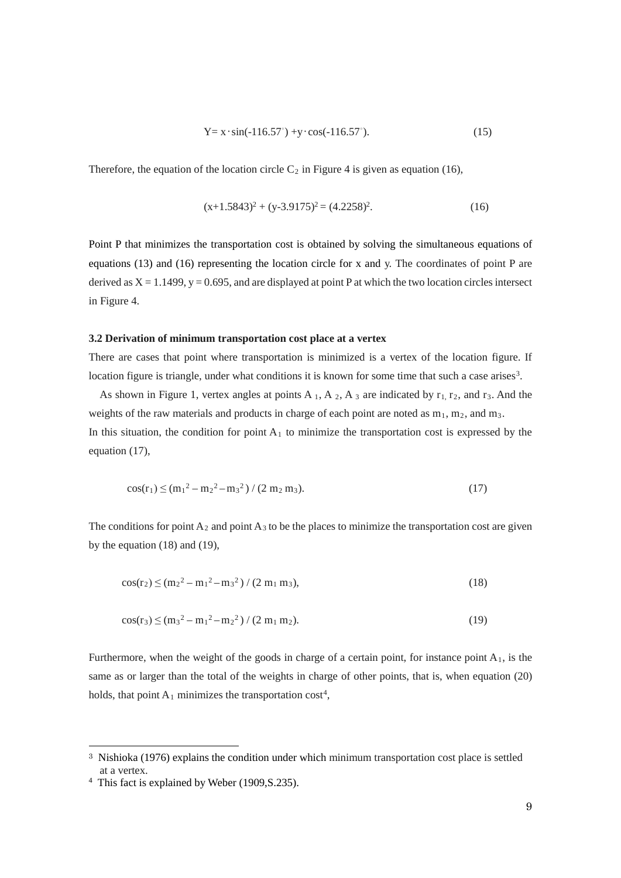$$
Y = x \cdot \sin(-116.57^{\circ}) + y \cdot \cos(-116.57^{\circ}).
$$
 (15)

Therefore, the equation of the location circle  $C_2$  in Figure 4 is given as equation (16),

$$
(x+1.5843)^2 + (y-3.9175)^2 = (4.2258)^2.
$$
 (16)

Point P that minimizes the transportation cost is obtained by solving the simultaneous equations of equations (13) and (16) representing the location circle for x and y. The coordinates of point P are derived as  $X = 1.1499$ ,  $y = 0.695$ , and are displayed at point P at which the two location circles intersect in Figure 4.

### **3.2 Derivation of minimum transportation cost place at a vertex**

There are cases that point where transportation is minimized is a vertex of the location figure. If location figure is triangle, under what conditions it is known for some time that such a case arises<sup>[3](#page-9-0)</sup>.

As shown in Figure 1, vertex angles at points A<sub>1</sub>, A<sub>2</sub>, A<sub>3</sub> are indicated by  $r_1$ ,  $r_2$ , and  $r_3$ . And the weights of the raw materials and products in charge of each point are noted as  $m_1$ ,  $m_2$ , and  $m_3$ . In this situation, the condition for point  $A_1$  to minimize the transportation cost is expressed by the equation (17),

$$
\cos(\mathbf{r}_1) \le (\mathbf{m}_1^2 - \mathbf{m}_2^2 - \mathbf{m}_3^2) / (2 \mathbf{m}_2 \mathbf{m}_3). \tag{17}
$$

The conditions for point  $A_2$  and point  $A_3$  to be the places to minimize the transportation cost are given by the equation (18) and (19),

$$
\cos(\mathbf{r}_2) \le (\mathbf{m}_2^2 - \mathbf{m}_1^2 - \mathbf{m}_3^2) / (2 \mathbf{m}_1 \mathbf{m}_3),\tag{18}
$$

$$
\cos(\mathbf{r}_3) \le (\mathbf{m}_3^2 - \mathbf{m}_1^2 - \mathbf{m}_2^2) / (2 \mathbf{m}_1 \mathbf{m}_2).
$$
 (19)

Furthermore, when the weight of the goods in charge of a certain point, for instance point  $A_1$ , is the same as or larger than the total of the weights in charge of other points, that is, when equation (20) holds, that point  $A_1$  minimizes the transportation cost<sup>[4](#page-9-1)</sup>,

<span id="page-9-0"></span><sup>&</sup>lt;sup>3</sup> Nishioka (1976) explains the condition under which minimum transportation cost place is settled at a vertex.

<span id="page-9-1"></span><sup>4</sup> This fact is explained by Weber (1909,S.235).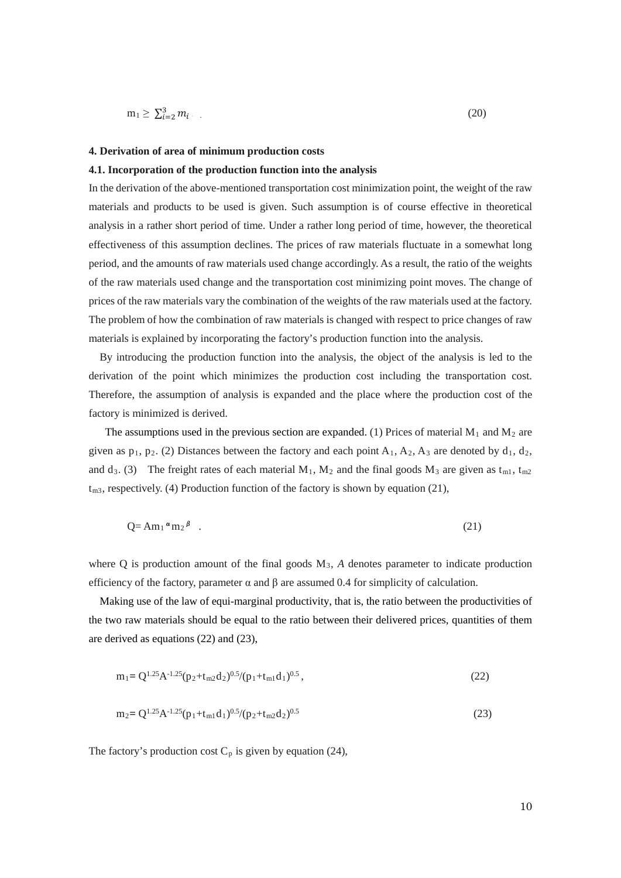$$
m_1 \ge \sum_{i=2}^3 m_i \tag{20}
$$

#### **4. Derivation of area of minimum production costs**

#### **4.1. Incorporation of the production function into the analysis**

In the derivation of the above-mentioned transportation cost minimization point, the weight of the raw materials and products to be used is given. Such assumption is of course effective in theoretical analysis in a rather short period of time. Under a rather long period of time, however, the theoretical effectiveness of this assumption declines. The prices of raw materials fluctuate in a somewhat long period, and the amounts of raw materials used change accordingly. As a result, the ratio of the weights of the raw materials used change and the transportation cost minimizing point moves. The change of prices of the raw materials vary the combination of the weights of the raw materials used at the factory. The problem of how the combination of raw materials is changed with respect to price changes of raw materials is explained by incorporating the factory's production function into the analysis.

By introducing the production function into the analysis, the object of the analysis is led to the derivation of the point which minimizes the production cost including the transportation cost. Therefore, the assumption of analysis is expanded and the place where the production cost of the factory is minimized is derived.

The assumptions used in the previous section are expanded. (1) Prices of material  $M_1$  and  $M_2$  are given as  $p_1$ ,  $p_2$ . (2) Distances between the factory and each point  $A_1$ ,  $A_2$ ,  $A_3$  are denoted by  $d_1$ ,  $d_2$ , and d<sub>3</sub>. (3) The freight rates of each material M<sub>1</sub>, M<sub>2</sub> and the final goods M<sub>3</sub> are given as t<sub>m1</sub>, t<sub>m2</sub>  $t_{m3}$ , respectively. (4) Production function of the factory is shown by equation (21),

$$
Q = Am_1 \alpha m_2 \beta \quad . \tag{21}
$$

where Q is production amount of the final goods  $M_3$ , A denotes parameter to indicate production efficiency of the factory, parameter  $\alpha$  and  $\beta$  are assumed 0.4 for simplicity of calculation.

 Making use of the law of equi-marginal productivity, that is, the ratio between the productivities of the two raw materials should be equal to the ratio between their delivered prices, quantities of them are derived as equations (22) and (23),

$$
m_1 = Q^{1.25} A^{-1.25} (p_2 + t_{m2} d_2)^{0.5} / (p_1 + t_{m1} d_1)^{0.5},
$$
\n(22)

$$
m_2 = Q^{1.25} A^{-1.25} (p_1 + t_{m1} d_1)^{0.5} / (p_2 + t_{m2} d_2)^{0.5}
$$
\n(23)

The factory's production cost  $C_p$  is given by equation (24),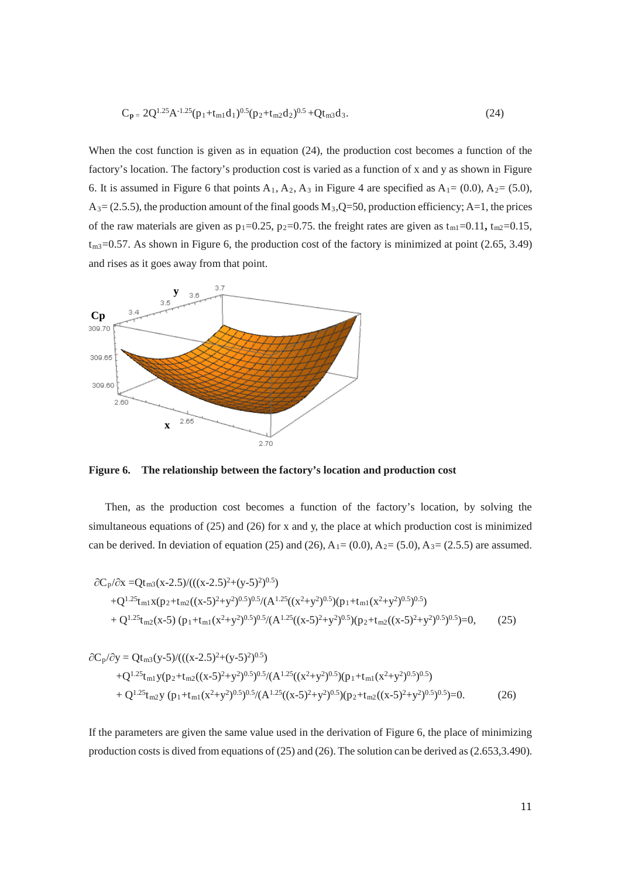$$
C_{p} = 2Q^{1.25}A^{-1.25}(p_1 + t_{m1}d_1)^{0.5}(p_2 + t_{m2}d_2)^{0.5} + Qt_{m3}d_3.
$$
 (24)

When the cost function is given as in equation (24), the production cost becomes a function of the factory's location. The factory's production cost is varied as a function of x and y as shown in Figure 6. It is assumed in Figure 6 that points  $A_1$ ,  $A_2$ ,  $A_3$  in Figure 4 are specified as  $A_1 = (0.0)$ ,  $A_2 = (5.0)$ ,  $A_3 = (2.5.5)$ , the production amount of the final goods  $M_3$ ,  $Q=50$ , production efficiency; A=1, the prices of the raw materials are given as  $p_1=0.25$ ,  $p_2=0.75$ . the freight rates are given as  $t_{m1}=0.11$ ,  $t_{m2}=0.15$ ,  $t_{m3}=0.57$ . As shown in Figure 6, the production cost of the factory is minimized at point (2.65, 3.49) and rises as it goes away from that point.



**Figure 6. The relationship between the factory's location and production cost** 

Then, as the production cost becomes a function of the factory's location, by solving the simultaneous equations of (25) and (26) for x and y, the place at which production cost is minimized can be derived. In deviation of equation (25) and (26),  $A_1 = (0.0)$ ,  $A_2 = (5.0)$ ,  $A_3 = (2.5.5)$  are assumed.

$$
\partial C_p/\partial x = Qt_{m3}(x-2.5)/(((x-2.5)^2+(y-5)^2)^{0.5})
$$
  
+ $Q^{1.25}t_{m1}x(p_2+t_{m2}((x-5)^2+y^2)^{0.5})^{0.5}/(A^{1.25}((x^2+y^2)^{0.5})(p_1+t_{m1}(x^2+y^2)^{0.5})^{0.5})$   
+ $Q^{1.25}t_{m2}(x-5)(p_1+t_{m1}(x^2+y^2)^{0.5})^{0.5}/(A^{1.25}((x-5)^2+y^2)^{0.5})(p_2+t_{m2}((x-5)^2+y^2)^{0.5})^{0.5})=0,$  (25)

$$
\partial C_p/\partial y = Qt_{m3}(y-5)/(((x-2.5)^2+(y-5)^2)^{0.5}) \n+Q^{1.25}t_{m1}y(p_2+t_{m2}((x-5)^2+y^2)^{0.5})^{0.5}/(A^{1.25}((x^2+y^2)^{0.5})(p_1+t_{m1}(x^2+y^2)^{0.5})^{0.5}) \n+Q^{1.25}t_{m2}y(p_1+t_{m1}(x^2+y^2)^{0.5})^{0.5}/(A^{1.25}((x-5)^2+y^2)^{0.5})(p_2+t_{m2}((x-5)^2+y^2)^{0.5})^{0.5})=0.
$$
\n(26)

If the parameters are given the same value used in the derivation of Figure 6, the place of minimizing production costs is dived from equations of (25) and (26). The solution can be derived as (2.653,3.490).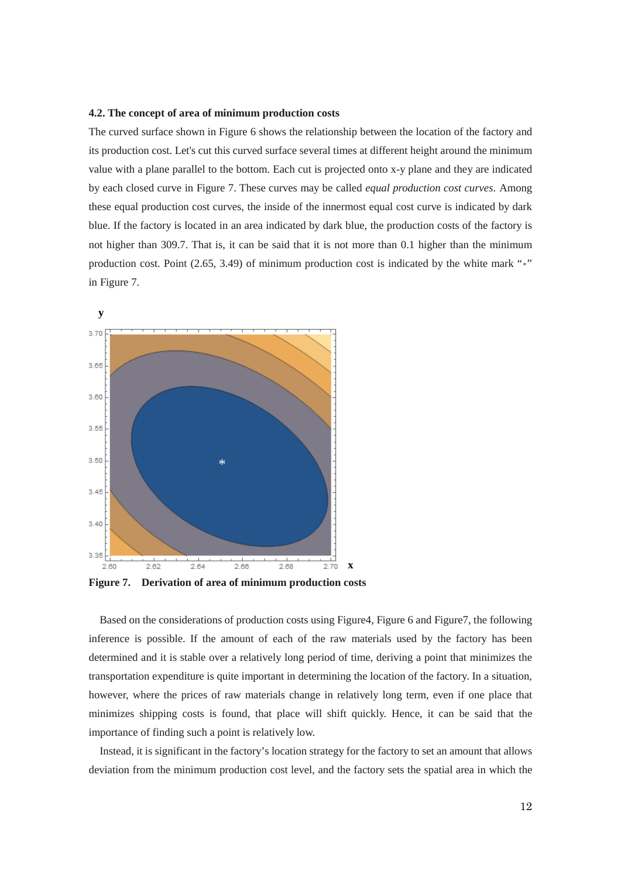#### **4.2. The concept of area of minimum production costs**

The curved surface shown in Figure 6 shows the relationship between the location of the factory and its production cost. Let's cut this curved surface several times at different height around the minimum value with a plane parallel to the bottom. Each cut is projected onto x-y plane and they are indicated by each closed curve in Figure 7. These curves may be called *equal production cost curves*. Among these equal production cost curves, the inside of the innermost equal cost curve is indicated by dark blue. If the factory is located in an area indicated by dark blue, the production costs of the factory is not higher than 309.7. That is, it can be said that it is not more than 0.1 higher than the minimum production cost. Point (2.65, 3.49) of minimum production cost is indicated by the white mark "\*" in Figure 7.



**Figure 7. Derivation of area of minimum production costs**

Based on the considerations of production costs using Figure4, Figure 6 and Figure7, the following inference is possible. If the amount of each of the raw materials used by the factory has been determined and it is stable over a relatively long period of time, deriving a point that minimizes the transportation expenditure is quite important in determining the location of the factory. In a situation, however, where the prices of raw materials change in relatively long term, even if one place that minimizes shipping costs is found, that place will shift quickly. Hence, it can be said that the importance of finding such a point is relatively low.

Instead, it is significant in the factory's location strategy for the factory to set an amount that allows deviation from the minimum production cost level, and the factory sets the spatial area in which the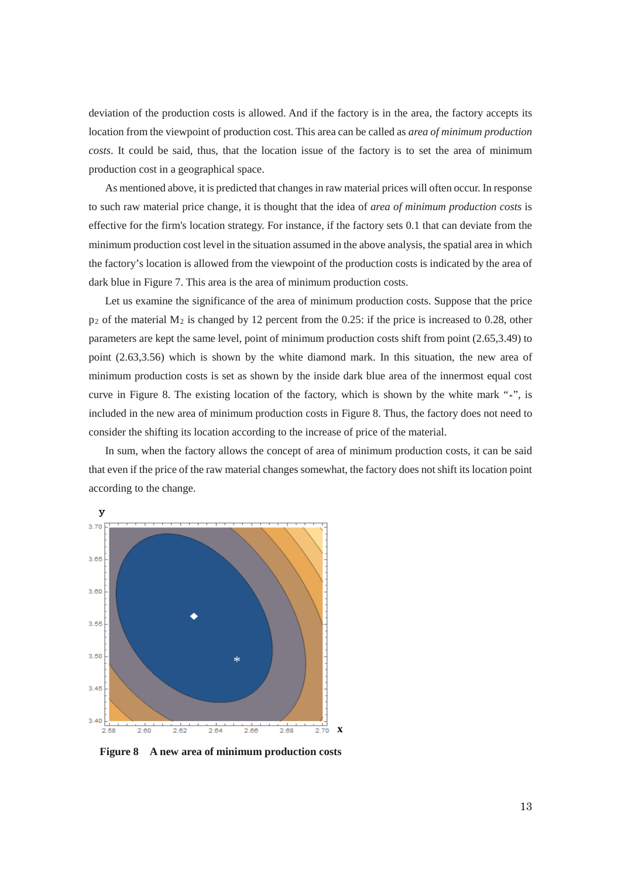deviation of the production costs is allowed. And if the factory is in the area, the factory accepts its location from the viewpoint of production cost. This area can be called as *area of minimum production costs*. It could be said, thus, that the location issue of the factory is to set the area of minimum production cost in a geographical space.

As mentioned above, it is predicted that changes in raw material prices will often occur. In response to such raw material price change, it is thought that the idea of *area of minimum production costs* is effective for the firm's location strategy. For instance, if the factory sets 0.1 that can deviate from the minimum production cost level in the situation assumed in the above analysis, the spatial area in which the factory's location is allowed from the viewpoint of the production costs is indicated by the area of dark blue in Figure 7. This area is the area of minimum production costs.

Let us examine the significance of the area of minimum production costs. Suppose that the price  $p_2$  of the material  $M_2$  is changed by 12 percent from the 0.25: if the price is increased to 0.28, other parameters are kept the same level, point of minimum production costs shift from point (2.65,3.49) to point (2.63,3.56) which is shown by the white diamond mark. In this situation, the new area of minimum production costs is set as shown by the inside dark blue area of the innermost equal cost curve in Figure 8. The existing location of the factory, which is shown by the white mark "\*", is included in the new area of minimum production costs in Figure 8. Thus, the factory does not need to consider the shifting its location according to the increase of price of the material.

In sum, when the factory allows the concept of area of minimum production costs, it can be said that even if the price of the raw material changes somewhat, the factory does not shift its location point according to the change.



**Figure 8 A new area of minimum production costs**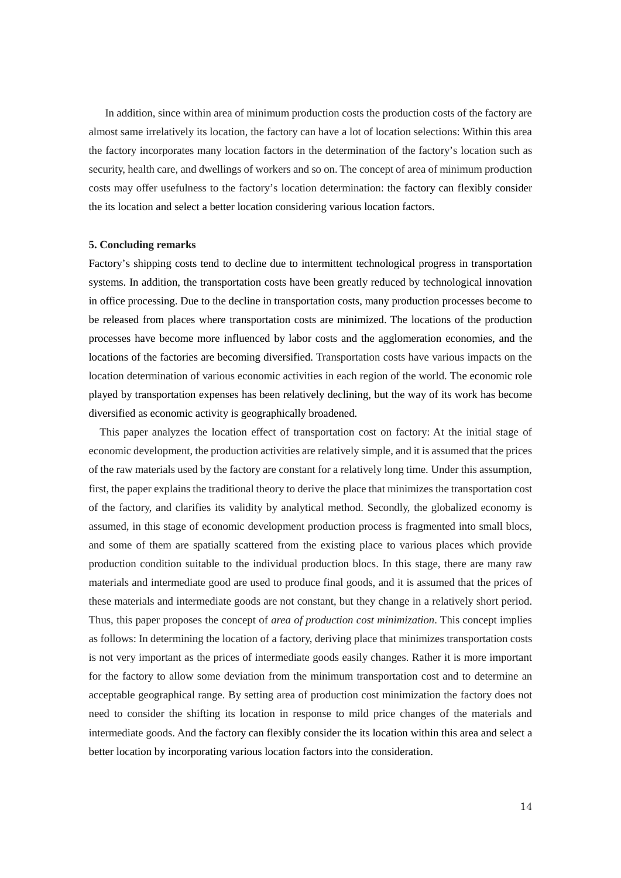In addition, since within area of minimum production costs the production costs of the factory are almost same irrelatively its location, the factory can have a lot of location selections: Within this area the factory incorporates many location factors in the determination of the factory's location such as security, health care, and dwellings of workers and so on. The concept of area of minimum production costs may offer usefulness to the factory's location determination: the factory can flexibly consider the its location and select a better location considering various location factors.

#### **5. Concluding remarks**

Factory's shipping costs tend to decline due to intermittent technological progress in transportation systems. In addition, the transportation costs have been greatly reduced by technological innovation in office processing. Due to the decline in transportation costs, many production processes become to be released from places where transportation costs are minimized. The locations of the production processes have become more influenced by labor costs and the agglomeration economies, and the locations of the factories are becoming diversified. Transportation costs have various impacts on the location determination of various economic activities in each region of the world. The economic role played by transportation expenses has been relatively declining, but the way of its work has become diversified as economic activity is geographically broadened.

This paper analyzes the location effect of transportation cost on factory: At the initial stage of economic development, the production activities are relatively simple, and it is assumed that the prices of the raw materials used by the factory are constant for a relatively long time. Under this assumption, first, the paper explains the traditional theory to derive the place that minimizes the transportation cost of the factory, and clarifies its validity by analytical method. Secondly, the globalized economy is assumed, in this stage of economic development production process is fragmented into small blocs, and some of them are spatially scattered from the existing place to various places which provide production condition suitable to the individual production blocs. In this stage, there are many raw materials and intermediate good are used to produce final goods, and it is assumed that the prices of these materials and intermediate goods are not constant, but they change in a relatively short period. Thus, this paper proposes the concept of *area of production cost minimization*. This concept implies as follows: In determining the location of a factory, deriving place that minimizes transportation costs is not very important as the prices of intermediate goods easily changes. Rather it is more important for the factory to allow some deviation from the minimum transportation cost and to determine an acceptable geographical range. By setting area of production cost minimization the factory does not need to consider the shifting its location in response to mild price changes of the materials and intermediate goods. And the factory can flexibly consider the its location within this area and select a better location by incorporating various location factors into the consideration.